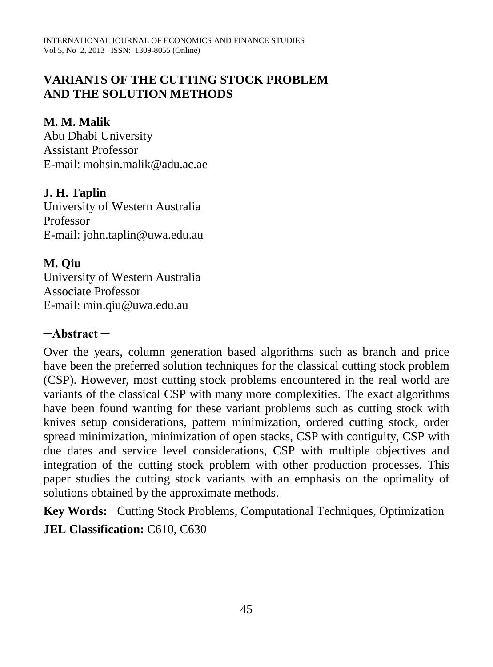# **VARIANTS OF THE CUTTING STOCK PROBLEM AND THE SOLUTION METHODS**

### **M. M. Malik**

Abu Dhabi University Assistant Professor E-mail: mohsin.malik@adu.ac.ae

# **J. H. Taplin**

University of Western Australia Professor E-mail: john.taplin@uwa.edu.au

**M. Qiu** University of Western Australia Associate Professor E-mail: min.qiu@uwa.edu.au

### **─Abstract ─**

Over the years, column generation based algorithms such as branch and price have been the preferred solution techniques for the classical cutting stock problem (CSP). However, most cutting stock problems encountered in the real world are variants of the classical CSP with many more complexities. The exact algorithms have been found wanting for these variant problems such as cutting stock with knives setup considerations, pattern minimization, ordered cutting stock, order spread minimization, minimization of open stacks, CSP with contiguity, CSP with due dates and service level considerations, CSP with multiple objectives and integration of the cutting stock problem with other production processes. This paper studies the cutting stock variants with an emphasis on the optimality of solutions obtained by the approximate methods.

**Key Words:** Cutting Stock Problems, Computational Techniques, Optimization **JEL Classification: C610, C630**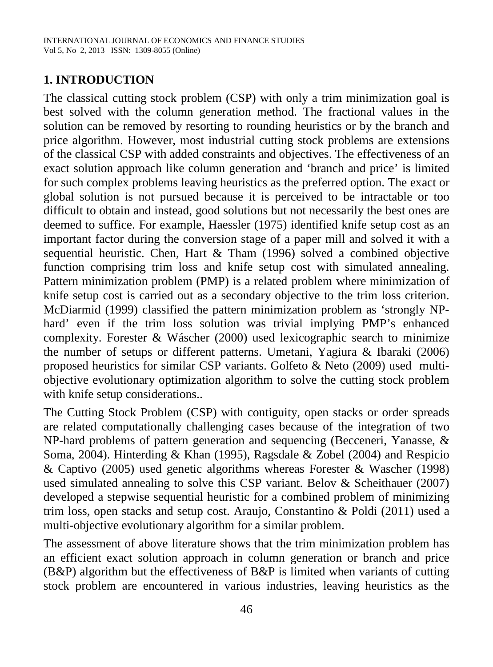# **1. INTRODUCTION**

The classical cutting stock problem (CSP) with only a trim minimization goal is best solved with the column generation method. The fractional values in the solution can be removed by resorting to rounding heuristics or by the branch and price algorithm. However, most industrial cutting stock problems are extensions of the classical CSP with added constraints and objectives. The effectiveness of an exact solution approach like column generation and 'branch and price' is limited for such complex problems leaving heuristics as the preferred option. The exact or global solution is not pursued because it is perceived to be intractable or too difficult to obtain and instead, good solutions but not necessarily the best ones are deemed to suffice. For example, Haessler [\(1975\)](#page-9-0) identified knife setup cost as an important factor during the conversion stage of a paper mill and solved it with a sequential heuristic. Chen, Hart & Tham [\(1996\)](#page-8-0) solved a combined objective function comprising trim loss and knife setup cost with simulated annealing. Pattern minimization problem (PMP) is a related problem where minimization of knife setup cost is carried out as a secondary objective to the trim loss criterion. McDiarmid [\(1999\)](#page-9-1) classified the pattern minimization problem as 'strongly NPhard' even if the trim loss solution was trivial implying PMP's enhanced complexity. Forester & Wáscher [\(2000\)](#page-8-1) used lexicographic search to minimize the number of setups or different patterns. Umetani, Yagiura & Ibaraki [\(2006\)](#page-9-2) proposed heuristics for similar CSP variants. Golfeto & Neto [\(2009\)](#page-8-2) used multiobjective evolutionary optimization algorithm to solve the cutting stock problem with knife setup considerations..

The Cutting Stock Problem (CSP) with contiguity, open stacks or order spreads are related computationally challenging cases because of the integration of two NP-hard problems of pattern generation and sequencing [\(Becceneri, Yanasse, &](#page-8-3)  [Soma, 2004\)](#page-8-3). Hinterding & Khan [\(1995\)](#page-9-3), Ragsdale & Zobel [\(2004\)](#page-9-4) and Respicio & Captivo [\(2005\)](#page-9-5) used genetic algorithms whereas Forester & Wascher [\(1998\)](#page-8-4) used simulated annealing to solve this CSP variant. Belov & Scheithauer (2007) developed a stepwise sequential heuristic for a combined problem of minimizing trim loss, open stacks and setup cost. Araujo, Constantino & Poldi [\(2011\)](#page-8-5) used a multi-objective evolutionary algorithm for a similar problem.

The assessment of above literature shows that the trim minimization problem has an efficient exact solution approach in column generation or branch and price (B&P) algorithm but the effectiveness of B&P is limited when variants of cutting stock problem are encountered in various industries, leaving heuristics as the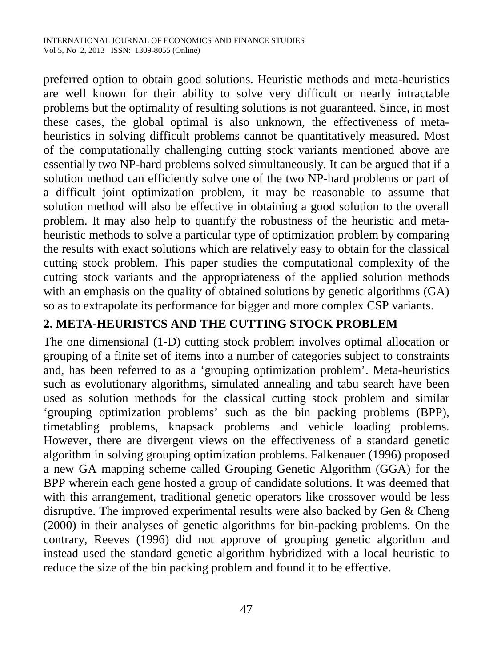preferred option to obtain good solutions. Heuristic methods and meta-heuristics are well known for their ability to solve very difficult or nearly intractable problems but the optimality of resulting solutions is not guaranteed. Since, in most these cases, the global optimal is also unknown, the effectiveness of metaheuristics in solving difficult problems cannot be quantitatively measured. Most of the computationally challenging cutting stock variants mentioned above are essentially two NP-hard problems solved simultaneously. It can be argued that if a solution method can efficiently solve one of the two NP-hard problems or part of a difficult joint optimization problem, it may be reasonable to assume that solution method will also be effective in obtaining a good solution to the overall problem. It may also help to quantify the robustness of the heuristic and metaheuristic methods to solve a particular type of optimization problem by comparing the results with exact solutions which are relatively easy to obtain for the classical cutting stock problem. This paper studies the computational complexity of the cutting stock variants and the appropriateness of the applied solution methods with an emphasis on the quality of obtained solutions by genetic algorithms (GA) so as to extrapolate its performance for bigger and more complex CSP variants.

# **2. META-HEURISTCS AND THE CUTTING STOCK PROBLEM**

The one dimensional (1-D) cutting stock problem involves optimal allocation or grouping of a finite set of items into a number of categories subject to constraints and, has been referred to as a 'grouping optimization problem'. Meta-heuristics such as evolutionary algorithms, simulated annealing and tabu search have been used as solution methods for the classical cutting stock problem and similar 'grouping optimization problems' such as the bin packing problems (BPP), timetabling problems, knapsack problems and vehicle loading problems. However, there are divergent views on the effectiveness of a standard genetic algorithm in solving grouping optimization problems. Falkenauer [\(1996\)](#page-8-6) proposed a new GA mapping scheme called Grouping Genetic Algorithm (GGA) for the BPP wherein each gene hosted a group of candidate solutions. It was deemed that with this arrangement, traditional genetic operators like crossover would be less disruptive. The improved experimental results were also backed by Gen & Cheng [\(2000\)](#page-8-7) in their analyses of genetic algorithms for bin-packing problems. On the contrary, Reeves [\(1996\)](#page-9-6) did not approve of grouping genetic algorithm and instead used the standard genetic algorithm hybridized with a local heuristic to reduce the size of the bin packing problem and found it to be effective.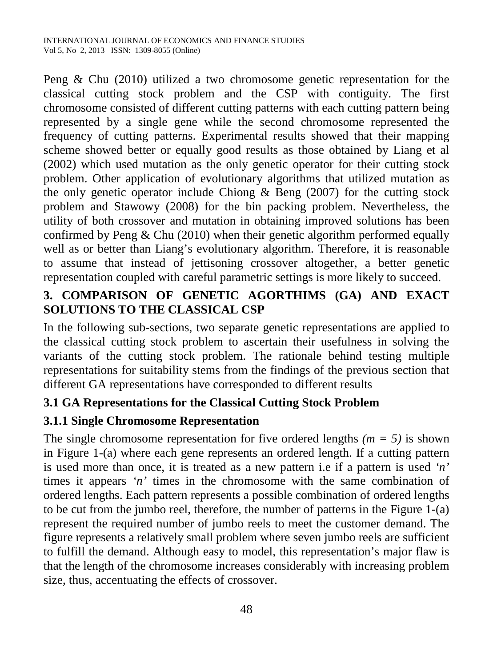Peng & Chu [\(2010\)](#page-9-7) utilized a two chromosome genetic representation for the classical cutting stock problem and the CSP with contiguity. The first chromosome consisted of different cutting patterns with each cutting pattern being represented by a single gene while the second chromosome represented the frequency of cutting patterns. Experimental results showed that their mapping scheme showed better or equally good results as those obtained by Liang et al [\(2002\)](#page-9-8) which used mutation as the only genetic operator for their cutting stock problem. Other application of evolutionary algorithms that utilized mutation as the only genetic operator include Chiong  $\&$  Beng [\(2007\)](#page-8-8) for the cutting stock problem and Stawowy [\(2008\)](#page-9-9) for the bin packing problem. Nevertheless, the utility of both crossover and mutation in obtaining improved solutions has been confirmed by Peng  $& Chu (2010)$  $& Chu (2010)$  when their genetic algorithm performed equally well as or better than Liang's evolutionary algorithm. Therefore, it is reasonable to assume that instead of jettisoning crossover altogether, a better genetic representation coupled with careful parametric settings is more likely to succeed.

# **3. COMPARISON OF GENETIC AGORTHIMS (GA) AND EXACT SOLUTIONS TO THE CLASSICAL CSP**

In the following sub-sections, two separate genetic representations are applied to the classical cutting stock problem to ascertain their usefulness in solving the variants of the cutting stock problem. The rationale behind testing multiple representations for suitability stems from the findings of the previous section that different GA representations have corresponded to different results

# **3.1 GA Representations for the Classical Cutting Stock Problem**

# **3.1.1 Single Chromosome Representation**

The single chromosome representation for five ordered lengths  $(m = 5)$  is shown in Figure 1-(a) where each gene represents an ordered length. If a cutting pattern is used more than once, it is treated as a new pattern i.e if a pattern is used *'n'* times it appears *'n'* times in the chromosome with the same combination of ordered lengths. Each pattern represents a possible combination of ordered lengths to be cut from the jumbo reel, therefore, the number of patterns in the Figure 1-(a) represent the required number of jumbo reels to meet the customer demand. The figure represents a relatively small problem where seven jumbo reels are sufficient to fulfill the demand. Although easy to model, this representation's major flaw is that the length of the chromosome increases considerably with increasing problem size, thus, accentuating the effects of crossover.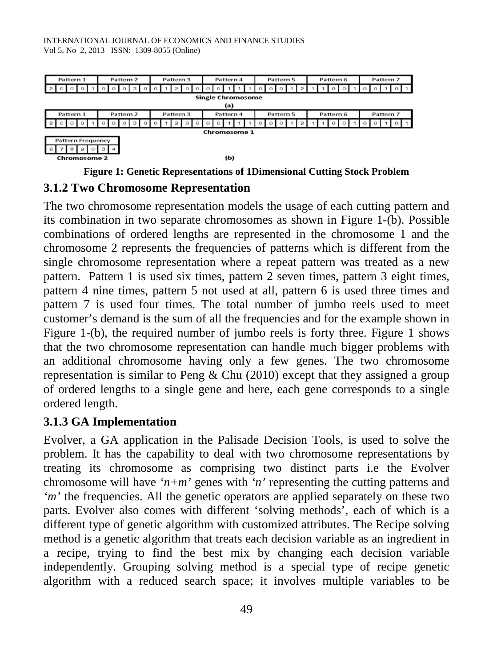| Pattern 1                | Pattern 2 | Pattern 3 | Pattern 4 | Pattern 5 | Pattern 6 | Pattern 7 |
|--------------------------|-----------|-----------|-----------|-----------|-----------|-----------|
|                          | o         |           |           |           |           |           |
| <b>Single Chromosome</b> |           |           |           |           |           |           |
| (a)                      |           |           |           |           |           |           |
| Pattern 1                | Pattern 2 | Pattern 3 | Pattern 4 | Pattern 5 | Pattern 6 | Pattern 7 |
|                          | Ω         |           |           |           |           |           |
| <b>Chromosome 1</b>      |           |           |           |           |           |           |
| Pattern Frequency        |           |           |           |           |           |           |
| 8<br>э                   |           |           |           |           |           |           |
| <b>Chromosome 2</b>      |           |           | (b)       |           |           |           |
|                          |           |           | -----     |           | .         |           |

**Figure 1: Genetic Representations of 1Dimensional Cutting Stock Problem**

#### **3.1.2 Two Chromosome Representation**

The two chromosome representation models the usage of each cutting pattern and its combination in two separate chromosomes as shown in Figure 1-(b). Possible combinations of ordered lengths are represented in the chromosome 1 and the chromosome 2 represents the frequencies of patterns which is different from the single chromosome representation where a repeat pattern was treated as a new pattern. Pattern 1 is used six times, pattern 2 seven times, pattern 3 eight times, pattern 4 nine times, pattern 5 not used at all, pattern 6 is used three times and pattern 7 is used four times. The total number of jumbo reels used to meet customer's demand is the sum of all the frequencies and for the example shown in Figure 1-(b), the required number of jumbo reels is forty three. Figure 1 shows that the two chromosome representation can handle much bigger problems with an additional chromosome having only a few genes. The two chromosome representation is similar to Peng & Chu [\(2010\)](#page-9-7) except that they assigned a group of ordered lengths to a single gene and here, each gene corresponds to a single ordered length.

# **3.1.3 GA Implementation**

Evolver, a GA application in the Palisade Decision Tools, is used to solve the problem. It has the capability to deal with two chromosome representations by treating its chromosome as comprising two distinct parts i.e the Evolver chromosome will have ' $n+m$ ' genes with 'n' representing the cutting patterns and *'m'* the frequencies. All the genetic operators are applied separately on these two parts. Evolver also comes with different 'solving methods', each of which is a different type of genetic algorithm with customized attributes. The Recipe solving method is a genetic algorithm that treats each decision variable as an ingredient in a recipe, trying to find the best mix by changing each decision variable independently. Grouping solving method is a special type of recipe genetic algorithm with a reduced search space; it involves multiple variables to be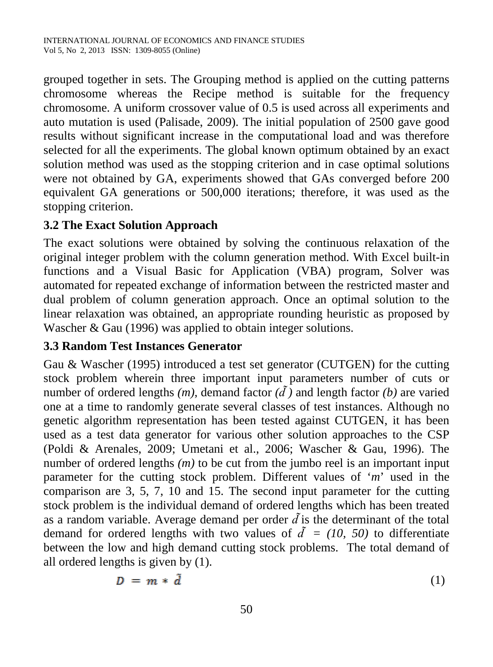grouped together in sets. The Grouping method is applied on the cutting patterns chromosome whereas the Recipe method is suitable for the frequency chromosome. A uniform crossover value of 0.5 is used across all experiments and auto mutation is used [\(Palisade, 2009\)](#page-9-10). The initial population of 2500 gave good results without significant increase in the computational load and was therefore selected for all the experiments. The global known optimum obtained by an exact solution method was used as the stopping criterion and in case optimal solutions were not obtained by GA, experiments showed that GAs converged before 200 equivalent GA generations or 500,000 iterations; therefore, it was used as the stopping criterion.

### **3.2 The Exact Solution Approach**

The exact solutions were obtained by solving the continuous relaxation of the original integer problem with the column generation method. With Excel built-in functions and a Visual Basic for Application (VBA) program, Solver was automated for repeated exchange of information between the restricted master and dual problem of column generation approach. Once an optimal solution to the linear relaxation was obtained, an appropriate rounding heuristic as proposed by Wascher & Gau [\(1996\)](#page-9-11) was applied to obtain integer solutions.

### **3.3 Random Test Instances Generator**

Gau & Wascher [\(1995\)](#page-8-9) introduced a test set generator (CUTGEN) for the cutting stock problem wherein three important input parameters number of cuts or number of ordered lengths  $(m)$ , demand factor  $(\tilde{d})$  and length factor  $(b)$  are varied one at a time to randomly generate several classes of test instances. Although no genetic algorithm representation has been tested against CUTGEN, it has been used as a test data generator for various other solution approaches to the CSP [\(Poldi & Arenales, 2009;](#page-9-12) [Umetani et al., 2006;](#page-9-2) [Wascher & Gau, 1996\)](#page-9-11). The number of ordered lengths *(m)* to be cut from the jumbo reel is an important input parameter for the cutting stock problem. Different values of '*m*' used in the comparison are 3, 5, 7, 10 and 15. The second input parameter for the cutting stock problem is the individual demand of ordered lengths which has been treated as a random variable. Average demand per order  $\tilde{d}$  is the determinant of the total demand for ordered lengths with two values of  $\tilde{d} = (10, 50)$  to differentiate between the low and high demand cutting stock problems. The total demand of all ordered lengths is given by (1).

$$
D = m * \tilde{d} \tag{1}
$$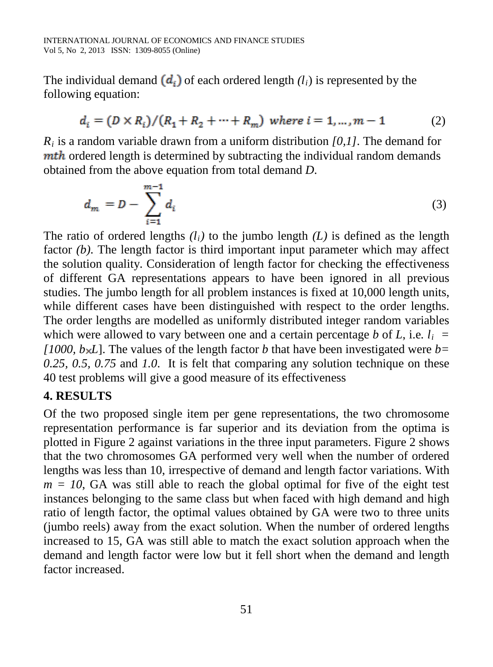The individual demand  $(d_i)$  of each ordered length  $(l_i)$  is represented by the following equation:

$$
d_i = (D \times R_i)/(R_1 + R_2 + \dots + R_m) \text{ where } i = 1, \dots, m-1 \tag{2}
$$

*Ri* is a random variable drawn from a uniform distribution *[0,1].* The demand for **mth** ordered length is determined by subtracting the individual random demands obtained from the above equation from total demand *D*.

$$
d_m = D - \sum_{i=1}^{m-1} d_i \tag{3}
$$

The ratio of ordered lengths  $(l_i)$  to the jumbo length  $(L)$  is defined as the length factor *(b)*. The length factor is third important input parameter which may affect the solution quality. Consideration of length factor for checking the effectiveness of different GA representations appears to have been ignored in all previous studies. The jumbo length for all problem instances is fixed at 10,000 length units, while different cases have been distinguished with respect to the order lengths. The order lengths are modelled as uniformly distributed integer random variables which were allowed to vary between one and a certain percentage *b* of *L*, i.e.  $l_i$ *[1000, b* $\times$ *L*]. The values of the length factor *b* that have been investigated were *b*= *0.25, 0.5, 0.75* and *1.0*. It is felt that comparing any solution technique on these 40 test problems will give a good measure of its effectiveness

# **4. RESULTS**

Of the two proposed single item per gene representations, the two chromosome representation performance is far superior and its deviation from the optima is plotted in Figure 2 against variations in the three input parameters. Figure 2 shows that the two chromosomes GA performed very well when the number of ordered lengths was less than 10, irrespective of demand and length factor variations. With  $m = 10$ , GA was still able to reach the global optimal for five of the eight test instances belonging to the same class but when faced with high demand and high ratio of length factor, the optimal values obtained by GA were two to three units (jumbo reels) away from the exact solution. When the number of ordered lengths increased to 15, GA was still able to match the exact solution approach when the demand and length factor were low but it fell short when the demand and length factor increased.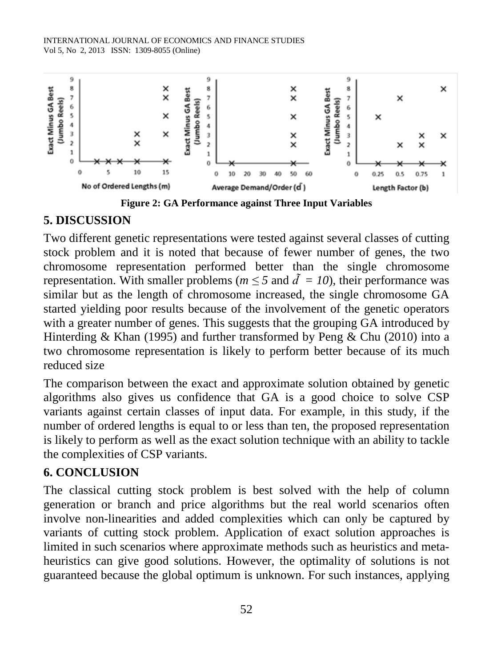

**Figure 2: GA Performance against Three Input Variables**

### **5. DISCUSSION**

Two different genetic representations were tested against several classes of cutting stock problem and it is noted that because of fewer number of genes, the two chromosome representation performed better than the single chromosome representation. With smaller problems ( $m \leq 5$  and  $\tilde{d} = 10$ ), their performance was similar but as the length of chromosome increased, the single chromosome GA started yielding poor results because of the involvement of the genetic operators with a greater number of genes. This suggests that the grouping GA introduced by Hinterding & Khan [\(1995\)](#page-9-3) and further transformed by Peng & Chu [\(2010\)](#page-9-7) into a two chromosome representation is likely to perform better because of its much reduced size

The comparison between the exact and approximate solution obtained by genetic algorithms also gives us confidence that GA is a good choice to solve CSP variants against certain classes of input data. For example, in this study, if the number of ordered lengths is equal to or less than ten, the proposed representation is likely to perform as well as the exact solution technique with an ability to tackle the complexities of CSP variants.

# **6. CONCLUSION**

The classical cutting stock problem is best solved with the help of column generation or branch and price algorithms but the real world scenarios often involve non-linearities and added complexities which can only be captured by variants of cutting stock problem. Application of exact solution approaches is limited in such scenarios where approximate methods such as heuristics and metaheuristics can give good solutions. However, the optimality of solutions is not guaranteed because the global optimum is unknown. For such instances, applying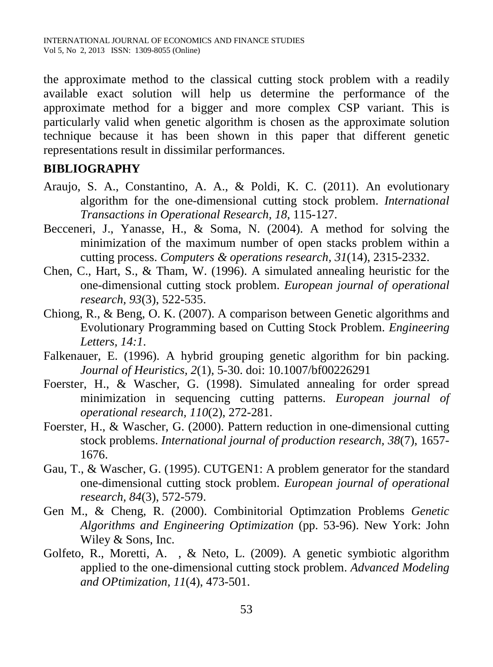the approximate method to the classical cutting stock problem with a readily available exact solution will help us determine the performance of the approximate method for a bigger and more complex CSP variant. This is particularly valid when genetic algorithm is chosen as the approximate solution technique because it has been shown in this paper that different genetic representations result in dissimilar performances.

### **BIBLIOGRAPHY**

- <span id="page-8-5"></span>Araujo, S. A., Constantino, A. A., & Poldi, K. C. (2011). An evolutionary algorithm for the one-dimensional cutting stock problem. *International Transactions in Operational Research, 18*, 115-127.
- <span id="page-8-3"></span>Becceneri, J., Yanasse, H., & Soma, N. (2004). A method for solving the minimization of the maximum number of open stacks problem within a cutting process. *Computers & operations research, 31*(14), 2315-2332.
- <span id="page-8-0"></span>Chen, C., Hart, S., & Tham, W. (1996). A simulated annealing heuristic for the one-dimensional cutting stock problem. *European journal of operational research, 93*(3), 522-535.
- <span id="page-8-8"></span>Chiong, R., & Beng, O. K. (2007). A comparison between Genetic algorithms and Evolutionary Programming based on Cutting Stock Problem. *Engineering Letters, 14:1*.
- <span id="page-8-6"></span>Falkenauer, E. (1996). A hybrid grouping genetic algorithm for bin packing. *Journal of Heuristics, 2*(1), 5-30. doi: 10.1007/bf00226291
- <span id="page-8-4"></span>Foerster, H., & Wascher, G. (1998). Simulated annealing for order spread minimization in sequencing cutting patterns. *European journal of operational research, 110*(2), 272-281.
- <span id="page-8-1"></span>Foerster, H., & Wascher, G. (2000). Pattern reduction in one-dimensional cutting stock problems. *International journal of production research, 38*(7), 1657- 1676.
- <span id="page-8-9"></span>Gau, T., & Wascher, G. (1995). CUTGEN1: A problem generator for the standard one-dimensional cutting stock problem. *European journal of operational research, 84*(3), 572-579.
- <span id="page-8-7"></span>Gen M., & Cheng, R. (2000). Combinitorial Optimzation Problems *Genetic Algorithms and Engineering Optimization* (pp. 53-96). New York: John Wiley & Sons, Inc.
- <span id="page-8-2"></span>Golfeto, R., Moretti, A. , & Neto, L. (2009). A genetic symbiotic algorithm applied to the one-dimensional cutting stock problem. *Advanced Modeling and OPtimization, 11*(4), 473-501.